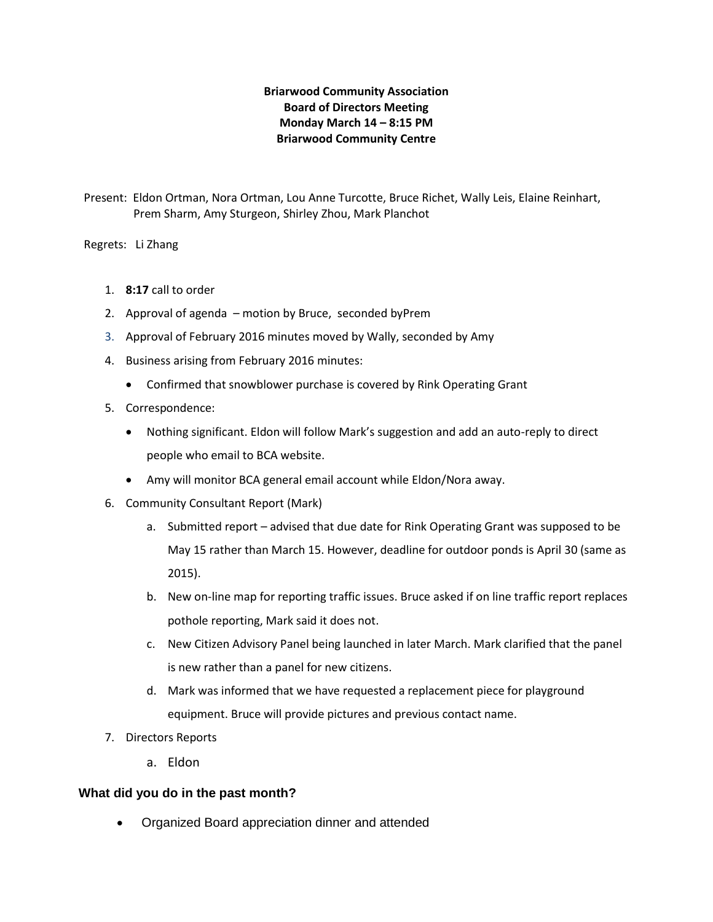# **Briarwood Community Association Board of Directors Meeting Monday March 14 – 8:15 PM Briarwood Community Centre**

Present: Eldon Ortman, Nora Ortman, Lou Anne Turcotte, Bruce Richet, Wally Leis, Elaine Reinhart, Prem Sharm, Amy Sturgeon, Shirley Zhou, Mark Planchot

Regrets: Li Zhang

- 1. **8:17** call to order
- 2. Approval of agenda motion by Bruce, seconded byPrem
- 3. Approval of February 2016 minutes moved by Wally, seconded by Amy
- 4. Business arising from February 2016 minutes:
	- Confirmed that snowblower purchase is covered by Rink Operating Grant
- 5. Correspondence:
	- Nothing significant. Eldon will follow Mark's suggestion and add an auto-reply to direct people who email to BCA website.
	- Amy will monitor BCA general email account while Eldon/Nora away.
- 6. Community Consultant Report (Mark)
	- a. Submitted report advised that due date for Rink Operating Grant was supposed to be May 15 rather than March 15. However, deadline for outdoor ponds is April 30 (same as 2015).
	- b. New on-line map for reporting traffic issues. Bruce asked if on line traffic report replaces pothole reporting, Mark said it does not.
	- c. New Citizen Advisory Panel being launched in later March. Mark clarified that the panel is new rather than a panel for new citizens.
	- d. Mark was informed that we have requested a replacement piece for playground equipment. Bruce will provide pictures and previous contact name.
- 7. Directors Reports
	- a. Eldon

# **What did you do in the past month?**

Organized Board appreciation dinner and attended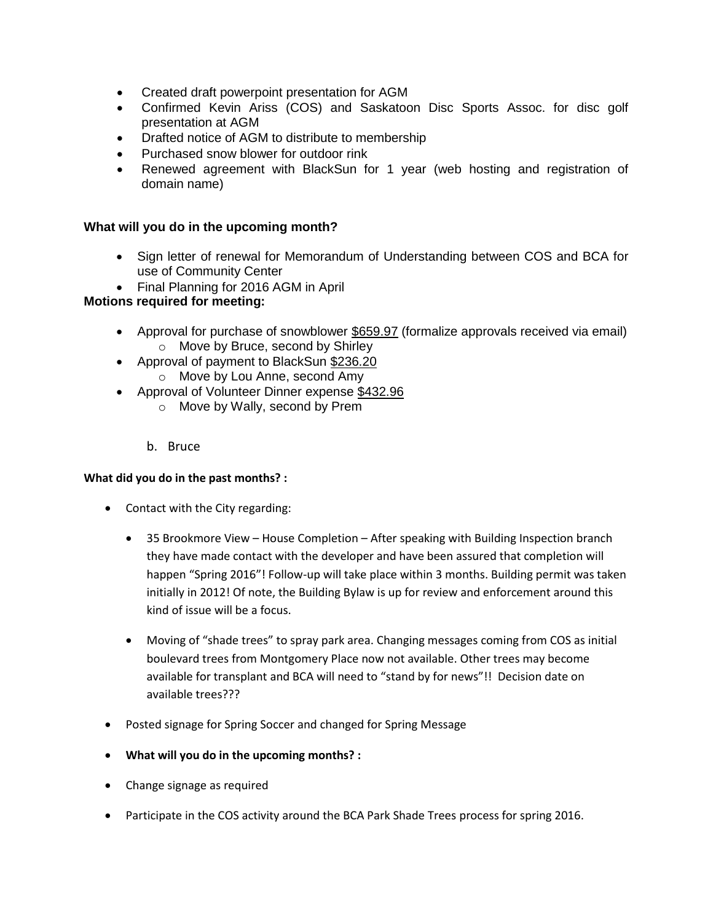- Created draft powerpoint presentation for AGM
- Confirmed Kevin Ariss (COS) and Saskatoon Disc Sports Assoc. for disc golf presentation at AGM
- Drafted notice of AGM to distribute to membership
- Purchased snow blower for outdoor rink
- Renewed agreement with BlackSun for 1 year (web hosting and registration of domain name)

#### **What will you do in the upcoming month?**

- Sign letter of renewal for Memorandum of Understanding between COS and BCA for use of Community Center
- Final Planning for 2016 AGM in April

# **Motions required for meeting:**

- Approval for purchase of snowblower \$659.97 (formalize approvals received via email) o Move by Bruce, second by Shirley
- Approval of payment to BlackSun \$236.20 o Move by Lou Anne, second Amy
- Approval of Volunteer Dinner expense \$432.96
	- o Move by Wally, second by Prem
	- b. Bruce

#### **What did you do in the past months? :**

- Contact with the City regarding:
	- 35 Brookmore View House Completion After speaking with Building Inspection branch they have made contact with the developer and have been assured that completion will happen "Spring 2016"! Follow-up will take place within 3 months. Building permit was taken initially in 2012! Of note, the Building Bylaw is up for review and enforcement around this kind of issue will be a focus.
	- Moving of "shade trees" to spray park area. Changing messages coming from COS as initial boulevard trees from Montgomery Place now not available. Other trees may become available for transplant and BCA will need to "stand by for news"!! Decision date on available trees???
- Posted signage for Spring Soccer and changed for Spring Message
- **What will you do in the upcoming months? :**
- Change signage as required
- Participate in the COS activity around the BCA Park Shade Trees process for spring 2016.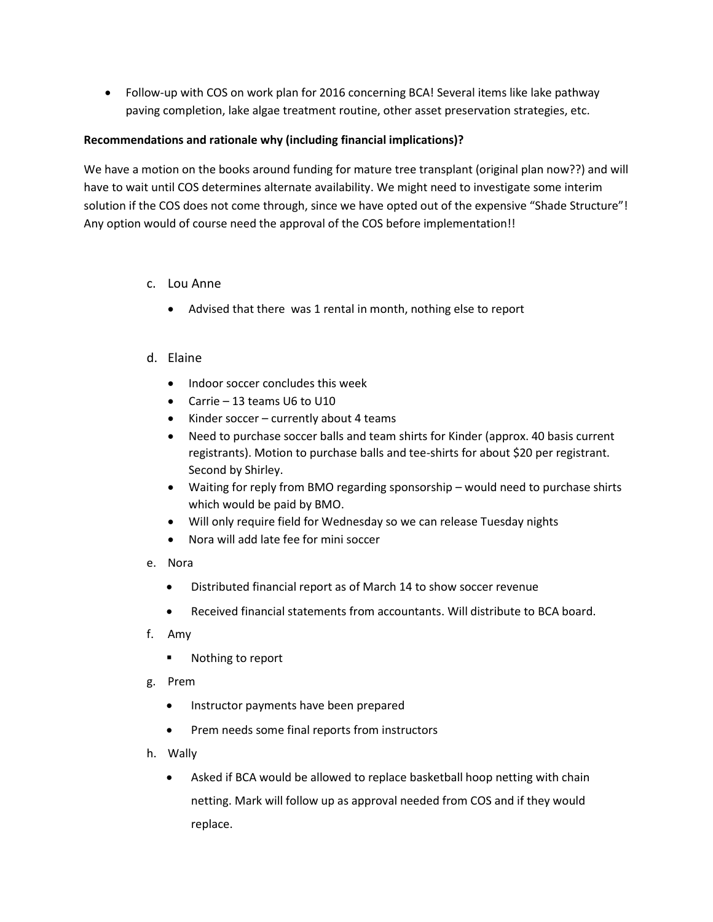Follow-up with COS on work plan for 2016 concerning BCA! Several items like lake pathway paving completion, lake algae treatment routine, other asset preservation strategies, etc.

### **Recommendations and rationale why (including financial implications)?**

We have a motion on the books around funding for mature tree transplant (original plan now??) and will have to wait until COS determines alternate availability. We might need to investigate some interim solution if the COS does not come through, since we have opted out of the expensive "Shade Structure"! Any option would of course need the approval of the COS before implementation!!

- c. Lou Anne
	- Advised that there was 1 rental in month, nothing else to report
- d. Elaine
	- Indoor soccer concludes this week
	- Carrie 13 teams U6 to U10
	- Kinder soccer currently about 4 teams
	- Need to purchase soccer balls and team shirts for Kinder (approx. 40 basis current registrants). Motion to purchase balls and tee-shirts for about \$20 per registrant. Second by Shirley.
	- Waiting for reply from BMO regarding sponsorship would need to purchase shirts which would be paid by BMO.
	- Will only require field for Wednesday so we can release Tuesday nights
	- Nora will add late fee for mini soccer
- e. Nora
	- Distributed financial report as of March 14 to show soccer revenue
	- Received financial statements from accountants. Will distribute to BCA board.
- f. Amy
	- Nothing to report
- g. Prem
	- Instructor payments have been prepared
	- Prem needs some final reports from instructors
- h. Wally
	- Asked if BCA would be allowed to replace basketball hoop netting with chain netting. Mark will follow up as approval needed from COS and if they would replace.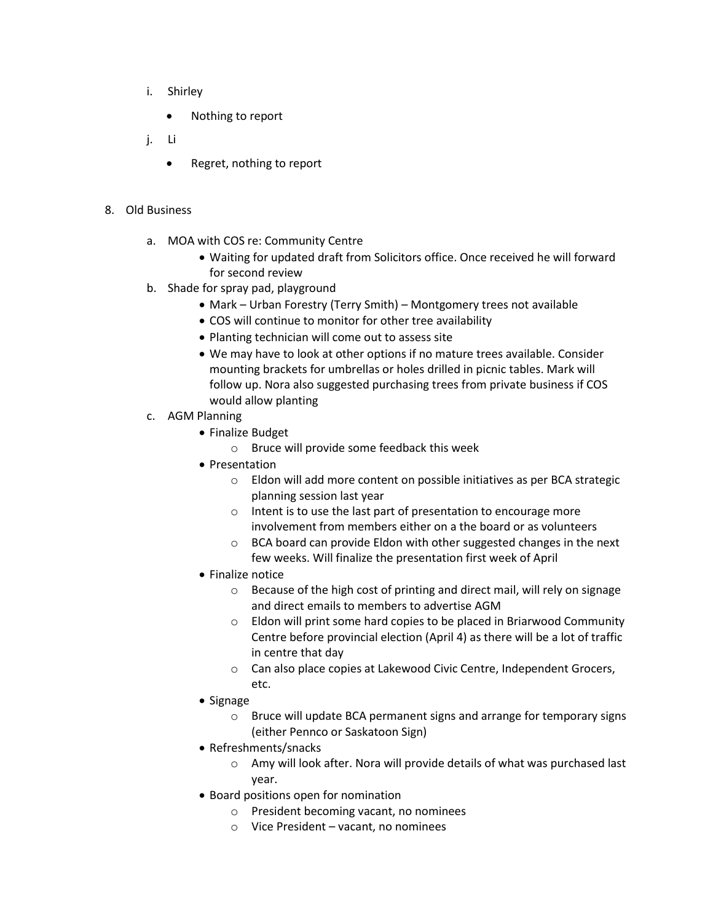- i. Shirley
	- Nothing to report
- j. Li
	- Regret, nothing to report

#### 8. Old Business

- a. MOA with COS re: Community Centre
	- Waiting for updated draft from Solicitors office. Once received he will forward for second review
- b. Shade for spray pad, playground
	- Mark Urban Forestry (Terry Smith) Montgomery trees not available
	- COS will continue to monitor for other tree availability
	- Planting technician will come out to assess site
	- We may have to look at other options if no mature trees available. Consider mounting brackets for umbrellas or holes drilled in picnic tables. Mark will follow up. Nora also suggested purchasing trees from private business if COS would allow planting
- c. AGM Planning
	- Finalize Budget
		- o Bruce will provide some feedback this week
	- Presentation
		- o Eldon will add more content on possible initiatives as per BCA strategic planning session last year
		- o Intent is to use the last part of presentation to encourage more involvement from members either on a the board or as volunteers
		- o BCA board can provide Eldon with other suggested changes in the next few weeks. Will finalize the presentation first week of April
	- Finalize notice
		- o Because of the high cost of printing and direct mail, will rely on signage and direct emails to members to advertise AGM
		- o Eldon will print some hard copies to be placed in Briarwood Community Centre before provincial election (April 4) as there will be a lot of traffic in centre that day
		- o Can also place copies at Lakewood Civic Centre, Independent Grocers, etc.
	- Signage
		- o Bruce will update BCA permanent signs and arrange for temporary signs (either Pennco or Saskatoon Sign)
	- Refreshments/snacks
		- o Amy will look after. Nora will provide details of what was purchased last year.
	- Board positions open for nomination
		- o President becoming vacant, no nominees
		- o Vice President vacant, no nominees